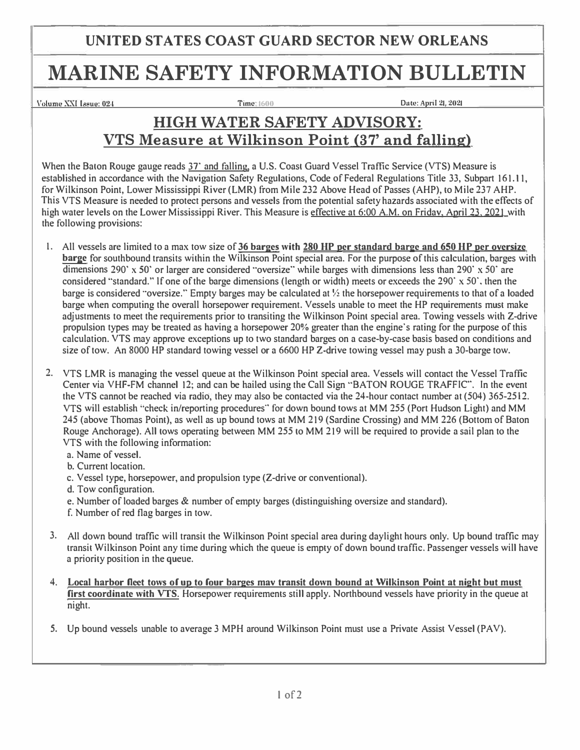#### **UNITED STATES COAST GUARD SECTOR NEW ORLEANS**

# **MARINE SAFETY INFORMATION BULLETIN**

Volume XXI Issue: 024

**Time· 1600 Dute: April 21, 2021**

### **HIGH WATER SAFETY ADVISORY: VTS Measure at Wilkinson Point (37' and falling)**

When the Baton Rouge gauge reads *3T* and falling, a U.S. Coast Guard Vessel Traffic Service (VTS) Measure is established in accordance with the Navigation Safety Regulations, Code of Federal Regulations Title 33, Subpart 161.11, for Wilkinson Point, Lower Mississippi River (LMR) from Mile 232 Above Head of Passes (AHP), to Mile 237 AHP. This VTS Measure is needed to protect persons and vessels from the potential safety hazards associated with the effects of high water levels on the Lower Mississippi River. This Measure is effective at 6:00 A.M. on Friday, April 23, 2021 with the following provisions:

- I. All vessels are limited to a max tow size of **36 barges with 280 HP per standard barge and 650 HP per oversize barge** for southbound transits within the Wilkinson Point special area. For the purpose of this calculation, barges with dimensions 290' x 50' or larger are considered "oversize" while barges with dimensions less than 290' x 50' are considered "standard." If one of the barge dimensions (length or width) meets or exceeds the 290'  $\times$  50', then the barge is considered "oversize." Empty barges may be calculated at  $\frac{1}{2}$  the horsepower requirements to that of a loaded barge when computing the overall horsepower requirement. Vessels unable to meet the HP requirements must make adjustments to meet the requirements prior to transiting the Wilkinson Point special area. Towing vessels with Z-drive propulsion types may be treated as having a horsepower 20% greater than the engine's rating for the purpose of this calculation. VTS may approve exceptions up to two standard barges on a case-by-case basis based on conditions and size of tow. An 8000 HP standard towing vessel or a 6600 HP Z-drive towing vessel may push a 30-barge tow.
- 2. VTS LMR is managing the vessel queue at the Wilkinson Point special area. Vessels will contact the Vessel Traffic Center via VHF-FM channel 12; and can be hailed using the Call Sign ''BATON ROUGE TRAFFIC". In the event the VTS cannot be reached via radio, they may also be contacted via the 24-hour contact number at (504) 365-2512. VTS will establish "check in/reporting procedures" for down bound tows at MM 255 (Port Hudson Light) and MM 245 (above Thomas Point), as well as up bound tows at MM 219 (Sardine Crossing) and MM 226 (Bottom of Baton Rouge Anchorage). All tows operating between MM 255 to MM 219 will be required to provide a sail plan to the VTS with the following information:
	- a. Name of vessel.
	- b. Current location.
	- c. Vessel type, horsepower, and propulsion type (Z-drive or conventional).
	- d. Tow configuration.
	- e. Number of loaded barges & number of empty barges ( distinguishing oversize and standard).
	- f. Number of red flag barges in tow.
- 3. All down bound traffic will transit the Wilkinson Point special area during daylight hours only. Up bound traffic may transit Wilkinson Point any time during which the queue is empty of down bound traffic. Passenger vessels will have a priority position in the queue.
- 4. **Local harbor fleet tows of up to four barges mav transit down bound at Wilkinson Point at night but must first coordinate with VTS.** Horsepower requirements still apply. Northbound vessels have priority in the queue at night.
- *5.* Up bound vessels unable to average 3 MPH around Wilkinson Point must use a Private Assist Vessel (PAV).